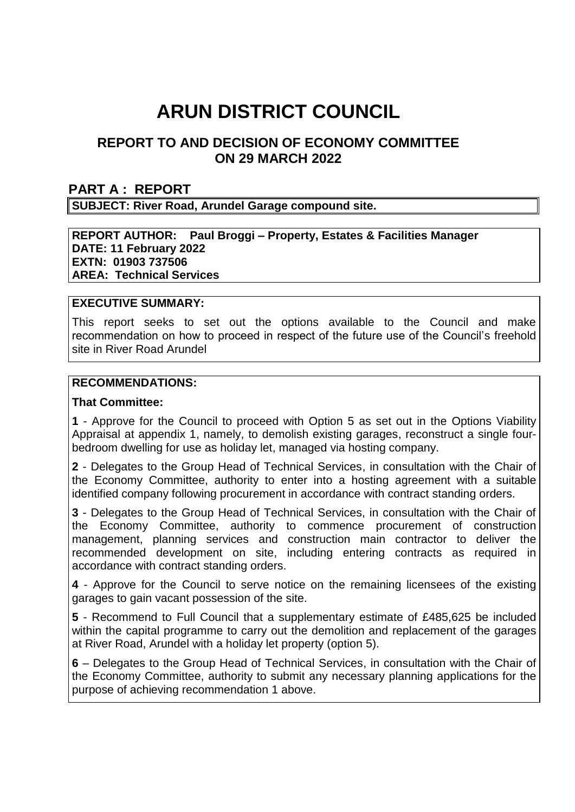# **ARUN DISTRICT COUNCIL**

# **REPORT TO AND DECISION OF ECONOMY COMMITTEE ON 29 MARCH 2022**

#### **PART A : REPORT**

**SUBJECT: River Road, Arundel Garage compound site.**

#### **REPORT AUTHOR: Paul Broggi – Property, Estates & Facilities Manager DATE: 11 February 2022 EXTN: 01903 737506 AREA: Technical Services**

#### **EXECUTIVE SUMMARY:**

This report seeks to set out the options available to the Council and make recommendation on how to proceed in respect of the future use of the Council's freehold site in River Road Arundel

#### **RECOMMENDATIONS:**

#### **That Committee:**

**1** - Approve for the Council to proceed with Option 5 as set out in the Options Viability Appraisal at appendix 1, namely, to demolish existing garages, reconstruct a single fourbedroom dwelling for use as holiday let, managed via hosting company.

**2** - Delegates to the Group Head of Technical Services, in consultation with the Chair of the Economy Committee, authority to enter into a hosting agreement with a suitable identified company following procurement in accordance with contract standing orders.

**3** - Delegates to the Group Head of Technical Services, in consultation with the Chair of the Economy Committee, authority to commence procurement of construction management, planning services and construction main contractor to deliver the recommended development on site, including entering contracts as required in accordance with contract standing orders.

**4** - Approve for the Council to serve notice on the remaining licensees of the existing garages to gain vacant possession of the site.

**5** - Recommend to Full Council that a supplementary estimate of £485,625 be included within the capital programme to carry out the demolition and replacement of the garages at River Road, Arundel with a holiday let property (option 5).

**6** – Delegates to the Group Head of Technical Services, in consultation with the Chair of the Economy Committee, authority to submit any necessary planning applications for the purpose of achieving recommendation 1 above.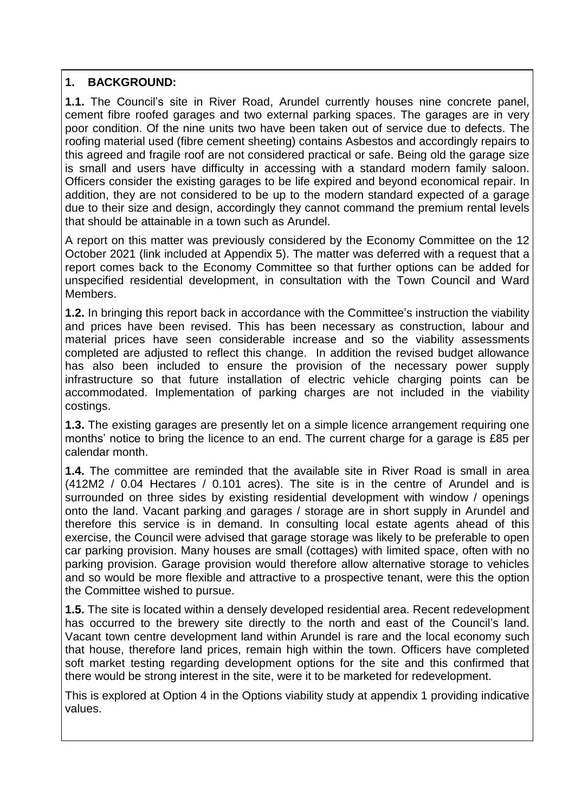# **1. BACKGROUND:**

**1.1.** The Council's site in River Road, Arundel currently houses nine concrete panel, cement fibre roofed garages and two external parking spaces. The garages are in very poor condition. Of the nine units two have been taken out of service due to defects. The roofing material used (fibre cement sheeting) contains Asbestos and accordingly repairs to this agreed and fragile roof are not considered practical or safe. Being old the garage size is small and users have difficulty in accessing with a standard modern family saloon. Officers consider the existing garages to be life expired and beyond economical repair. In addition, they are not considered to be up to the modern standard expected of a garage due to their size and design, accordingly they cannot command the premium rental levels that should be attainable in a town such as Arundel.

A report on this matter was previously considered by the Economy Committee on the 12 October 2021 (link included at Appendix 5). The matter was deferred with a request that a report comes back to the Economy Committee so that further options can be added for unspecified residential development, in consultation with the Town Council and Ward Members.

**1.2.** In bringing this report back in accordance with the Committee's instruction the viability and prices have been revised. This has been necessary as construction, labour and material prices have seen considerable increase and so the viability assessments completed are adjusted to reflect this change. In addition the revised budget allowance has also been included to ensure the provision of the necessary power supply infrastructure so that future installation of electric vehicle charging points can be accommodated. Implementation of parking charges are not included in the viability costings.

**1.3.** The existing garages are presently let on a simple licence arrangement requiring one months' notice to bring the licence to an end. The current charge for a garage is £85 per calendar month.

**1.4.** The committee are reminded that the available site in River Road is small in area (412M2 / 0.04 Hectares / 0.101 acres). The site is in the centre of Arundel and is surrounded on three sides by existing residential development with window / openings onto the land. Vacant parking and garages / storage are in short supply in Arundel and therefore this service is in demand. In consulting local estate agents ahead of this exercise, the Council were advised that garage storage was likely to be preferable to open car parking provision. Many houses are small (cottages) with limited space, often with no parking provision. Garage provision would therefore allow alternative storage to vehicles and so would be more flexible and attractive to a prospective tenant, were this the option the Committee wished to pursue.

**1.5.** The site is located within a densely developed residential area. Recent redevelopment has occurred to the brewery site directly to the north and east of the Council's land. Vacant town centre development land within Arundel is rare and the local economy such that house, therefore land prices, remain high within the town. Officers have completed soft market testing regarding development options for the site and this confirmed that there would be strong interest in the site, were it to be marketed for redevelopment.

This is explored at Option 4 in the Options viability study at appendix 1 providing indicative values.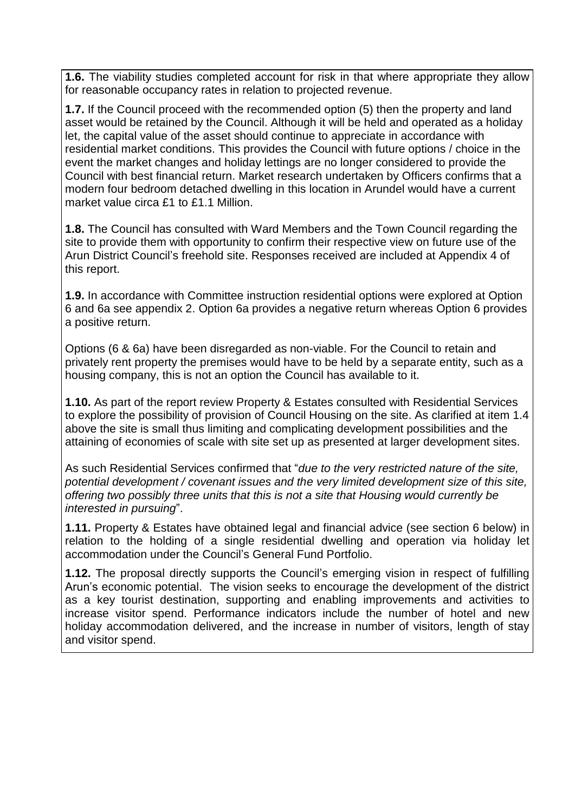**1.6.** The viability studies completed account for risk in that where appropriate they allow for reasonable occupancy rates in relation to projected revenue.

**1.7.** If the Council proceed with the recommended option (5) then the property and land asset would be retained by the Council. Although it will be held and operated as a holiday let, the capital value of the asset should continue to appreciate in accordance with residential market conditions. This provides the Council with future options / choice in the event the market changes and holiday lettings are no longer considered to provide the Council with best financial return. Market research undertaken by Officers confirms that a modern four bedroom detached dwelling in this location in Arundel would have a current market value circa £1 to £1.1 Million.

**1.8.** The Council has consulted with Ward Members and the Town Council regarding the site to provide them with opportunity to confirm their respective view on future use of the Arun District Council's freehold site. Responses received are included at Appendix 4 of this report.

**1.9.** In accordance with Committee instruction residential options were explored at Option 6 and 6a see appendix 2. Option 6a provides a negative return whereas Option 6 provides a positive return.

Options (6 & 6a) have been disregarded as non-viable. For the Council to retain and privately rent property the premises would have to be held by a separate entity, such as a housing company, this is not an option the Council has available to it.

**1.10.** As part of the report review Property & Estates consulted with Residential Services to explore the possibility of provision of Council Housing on the site. As clarified at item 1.4 above the site is small thus limiting and complicating development possibilities and the attaining of economies of scale with site set up as presented at larger development sites.

As such Residential Services confirmed that "*due to the very restricted nature of the site, potential development / covenant issues and the very limited development size of this site, offering two possibly three units that this is not a site that Housing would currently be interested in pursuing*".

**1.11.** Property & Estates have obtained legal and financial advice (see section 6 below) in relation to the holding of a single residential dwelling and operation via holiday let accommodation under the Council's General Fund Portfolio.

**1.12.** The proposal directly supports the Council's emerging vision in respect of fulfilling Arun's economic potential. The vision seeks to encourage the development of the district as a key tourist destination, supporting and enabling improvements and activities to increase visitor spend. Performance indicators include the number of hotel and new holiday accommodation delivered, and the increase in number of visitors, length of stay and visitor spend.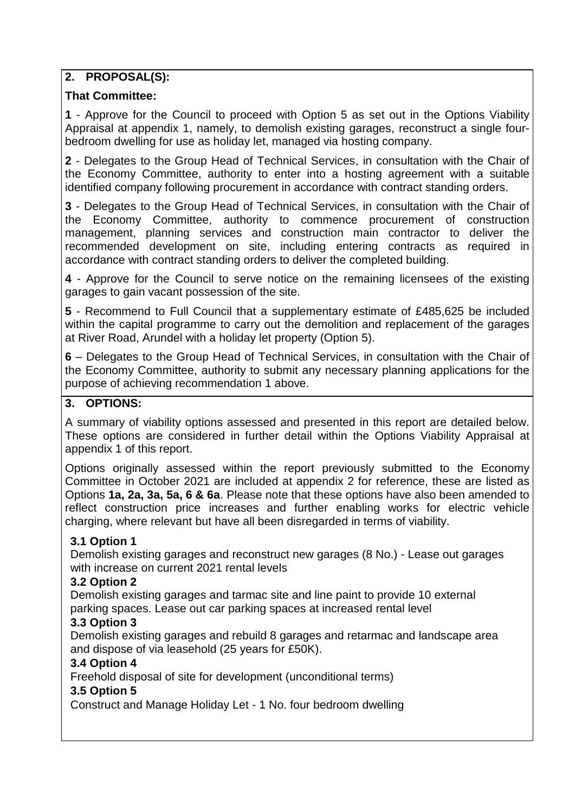# **2. PROPOSAL(S):**

## **That Committee:**

**1** - Approve for the Council to proceed with Option 5 as set out in the Options Viability Appraisal at appendix 1, namely, to demolish existing garages, reconstruct a single fourbedroom dwelling for use as holiday let, managed via hosting company.

**2** - Delegates to the Group Head of Technical Services, in consultation with the Chair of the Economy Committee, authority to enter into a hosting agreement with a suitable identified company following procurement in accordance with contract standing orders.

**3** - Delegates to the Group Head of Technical Services, in consultation with the Chair of the Economy Committee, authority to commence procurement of construction management, planning services and construction main contractor to deliver the recommended development on site, including entering contracts as required in accordance with contract standing orders to deliver the completed building.

**4** - Approve for the Council to serve notice on the remaining licensees of the existing garages to gain vacant possession of the site.

**5** - Recommend to Full Council that a supplementary estimate of £485,625 be included within the capital programme to carry out the demolition and replacement of the garages at River Road, Arundel with a holiday let property (Option 5).

**6** – Delegates to the Group Head of Technical Services, in consultation with the Chair of the Economy Committee, authority to submit any necessary planning applications for the purpose of achieving recommendation 1 above.

#### **3. OPTIONS:**

A summary of viability options assessed and presented in this report are detailed below. These options are considered in further detail within the Options Viability Appraisal at appendix 1 of this report.

Options originally assessed within the report previously submitted to the Economy Committee in October 2021 are included at appendix 2 for reference, these are listed as Options **1a, 2a, 3a, 5a, 6 & 6a**. Please note that these options have also been amended to reflect construction price increases and further enabling works for electric vehicle charging, where relevant but have all been disregarded in terms of viability.

## **3.1 Option 1**

Demolish existing garages and reconstruct new garages (8 No.) - Lease out garages with increase on current 2021 rental levels

## **3.2 Option 2**

Demolish existing garages and tarmac site and line paint to provide 10 external parking spaces. Lease out car parking spaces at increased rental level

## **3.3 Option 3**

Demolish existing garages and rebuild 8 garages and retarmac and landscape area and dispose of via leasehold (25 years for £50K).

## **3.4 Option 4**

Freehold disposal of site for development (unconditional terms)

## **3.5 Option 5**

Construct and Manage Holiday Let - 1 No. four bedroom dwelling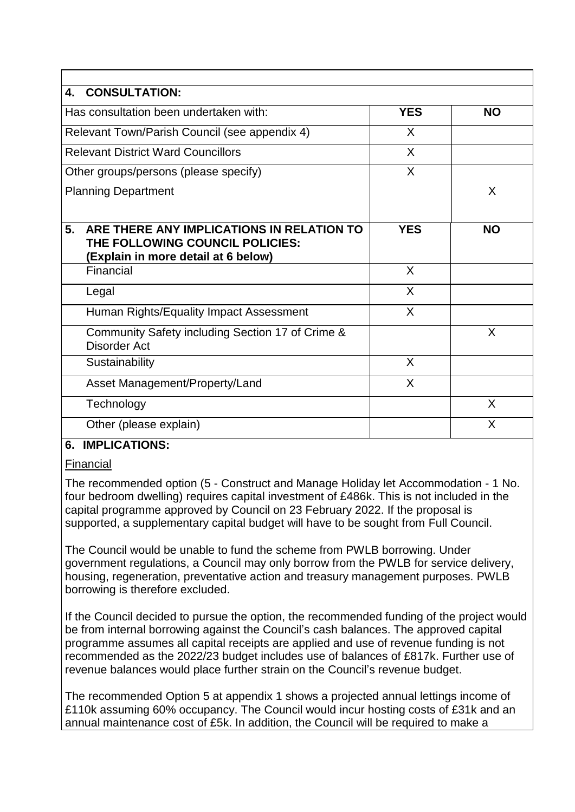| <b>CONSULTATION:</b><br>4.                                                                                                |            |           |
|---------------------------------------------------------------------------------------------------------------------------|------------|-----------|
| Has consultation been undertaken with:                                                                                    | <b>YES</b> | <b>NO</b> |
| Relevant Town/Parish Council (see appendix 4)                                                                             | X          |           |
| <b>Relevant District Ward Councillors</b>                                                                                 | X          |           |
| Other groups/persons (please specify)                                                                                     | $\sf X$    |           |
| <b>Planning Department</b>                                                                                                |            | X         |
|                                                                                                                           |            |           |
| 5.<br>ARE THERE ANY IMPLICATIONS IN RELATION TO<br>THE FOLLOWING COUNCIL POLICIES:<br>(Explain in more detail at 6 below) | <b>YES</b> | <b>NO</b> |
| Financial                                                                                                                 | X          |           |
| Legal                                                                                                                     | X          |           |
| Human Rights/Equality Impact Assessment                                                                                   | X          |           |
| Community Safety including Section 17 of Crime &<br>Disorder Act                                                          |            | X         |
| Sustainability                                                                                                            | X          |           |
| Asset Management/Property/Land                                                                                            | X          |           |
| Technology                                                                                                                |            | X         |
| Other (please explain)                                                                                                    |            | X         |

## **6. IMPLICATIONS:**

Financial

The recommended option (5 - Construct and Manage Holiday let Accommodation - 1 No. four bedroom dwelling) requires capital investment of £486k. This is not included in the capital programme approved by Council on 23 February 2022. If the proposal is supported, a supplementary capital budget will have to be sought from Full Council.

The Council would be unable to fund the scheme from PWLB borrowing. Under government regulations, a Council may only borrow from the PWLB for service delivery, housing, regeneration, preventative action and treasury management purposes. PWLB borrowing is therefore excluded.

If the Council decided to pursue the option, the recommended funding of the project would be from internal borrowing against the Council's cash balances. The approved capital programme assumes all capital receipts are applied and use of revenue funding is not recommended as the 2022/23 budget includes use of balances of £817k. Further use of revenue balances would place further strain on the Council's revenue budget.

The recommended Option 5 at appendix 1 shows a projected annual lettings income of £110k assuming 60% occupancy. The Council would incur hosting costs of £31k and an annual maintenance cost of £5k. In addition, the Council will be required to make a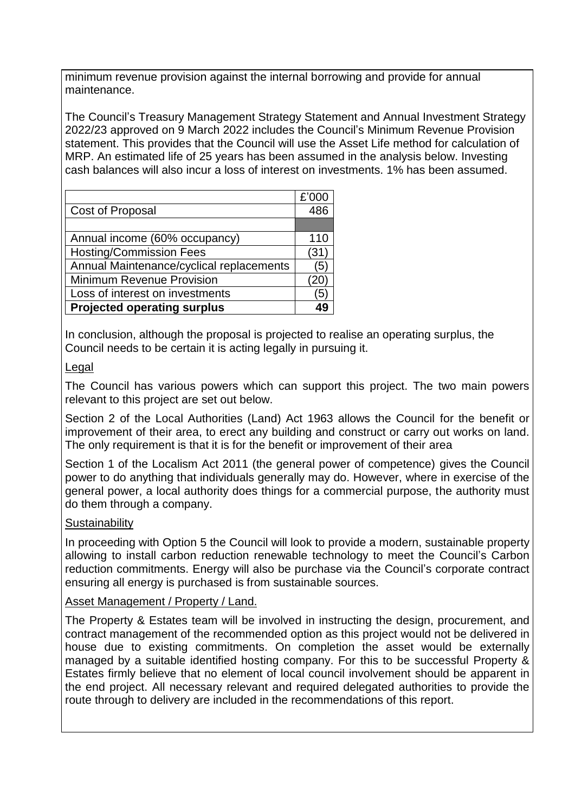minimum revenue provision against the internal borrowing and provide for annual maintenance.

The Council's Treasury Management Strategy Statement and Annual Investment Strategy 2022/23 approved on 9 March 2022 includes the Council's Minimum Revenue Provision statement. This provides that the Council will use the Asset Life method for calculation of MRP. An estimated life of 25 years has been assumed in the analysis below. Investing cash balances will also incur a loss of interest on investments. 1% has been assumed.

|                                          | £'000 |
|------------------------------------------|-------|
| Cost of Proposal                         | 486   |
|                                          |       |
| Annual income (60% occupancy)            | 110   |
| <b>Hosting/Commission Fees</b>           | (31   |
| Annual Maintenance/cyclical replacements | (5    |
| <b>Minimum Revenue Provision</b>         | 20    |
| Loss of interest on investments          | '5    |
| <b>Projected operating surplus</b>       |       |

In conclusion, although the proposal is projected to realise an operating surplus, the Council needs to be certain it is acting legally in pursuing it.

## **Legal**

The Council has various powers which can support this project. The two main powers relevant to this project are set out below.

Section 2 of the Local Authorities (Land) Act 1963 allows the Council for the benefit or improvement of their area, to erect any building and construct or carry out works on land. The only requirement is that it is for the benefit or improvement of their area

Section 1 of the Localism Act 2011 (the general power of competence) gives the Council power to do anything that individuals generally may do. However, where in exercise of the general power, a local authority does things for a commercial purpose, the authority must do them through a company.

## **Sustainability**

In proceeding with Option 5 the Council will look to provide a modern, sustainable property allowing to install carbon reduction renewable technology to meet the Council's Carbon reduction commitments. Energy will also be purchase via the Council's corporate contract ensuring all energy is purchased is from sustainable sources.

## Asset Management / Property / Land.

The Property & Estates team will be involved in instructing the design, procurement, and contract management of the recommended option as this project would not be delivered in house due to existing commitments. On completion the asset would be externally managed by a suitable identified hosting company. For this to be successful Property & Estates firmly believe that no element of local council involvement should be apparent in the end project. All necessary relevant and required delegated authorities to provide the route through to delivery are included in the recommendations of this report.